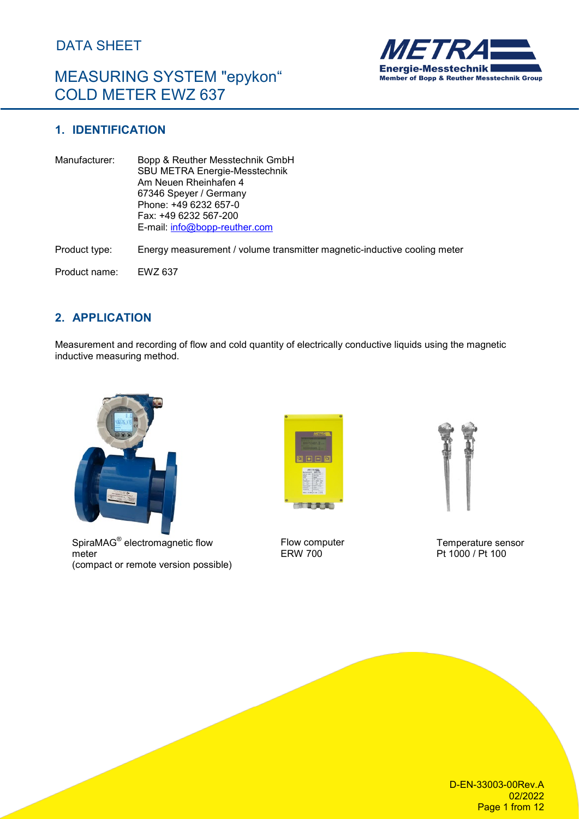# MEASURING SYSTEM "epykon" COLD METER EWZ 637



### **1. IDENTIFICATION**

| Manufacturer: | Bopp & Reuther Messtechnik GmbH<br><b>SBU METRA Energie-Messtechnik</b><br>Am Neuen Rheinhafen 4<br>67346 Speyer / Germany<br>Phone: +49 6232 657-0<br>Fax: +49 6232 567-200<br>E-mail: $info@bopp-reuther.com$ |
|---------------|-----------------------------------------------------------------------------------------------------------------------------------------------------------------------------------------------------------------|
| Product type: | Energy measurement / volume transmitter magnetic-inductive cooling meter                                                                                                                                        |
| Product name: | EWZ 637                                                                                                                                                                                                         |

### **2. APPLICATION**

Measurement and recording of flow and cold quantity of electrically conductive liquids using the magnetic inductive measuring method.



SpiraMAG® electromagnetic flow meter (compact or remote version possible)



Flow computer ERW 700



Temperature sensor Pt 1000 / Pt 100

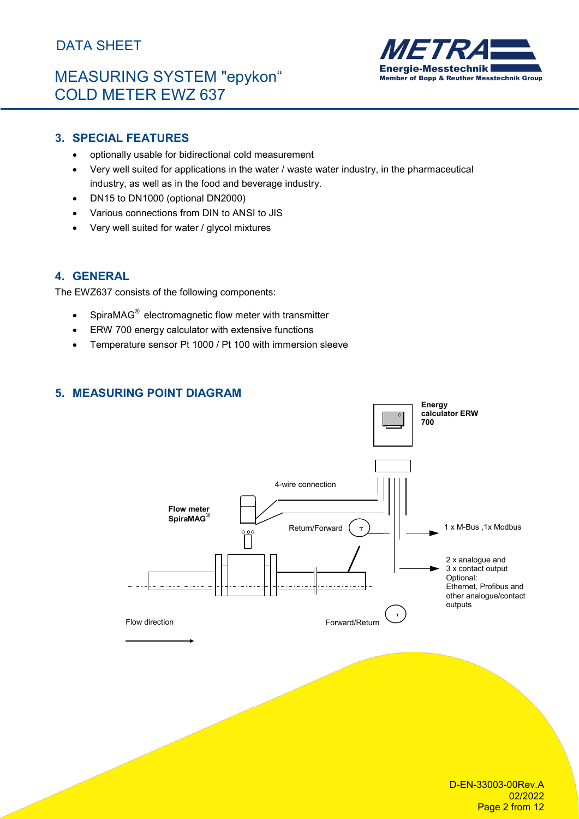# MEASURING SYSTEM "epykon" COLD METER EWZ 637



### **3. SPECIAL FEATURES**

- optionally usable for bidirectional cold measurement
- Very well suited for applications in the water / waste water industry, in the pharmaceutical industry, as well as in the food and beverage industry.
- DN15 to DN1000 (optional DN2000)
- Various connections from DIN to ANSI to JIS
- Very well suited for water / glycol mixtures

### **4. GENERAL**

The EWZ637 consists of the following components:

- SpiraMAG® electromagnetic flow meter with transmitter
- ERW 700 energy calculator with extensive functions
- Temperature sensor Pt 1000 / Pt 100 with immersion sleeve

### **5. MEASURING POINT DIAGRAM**

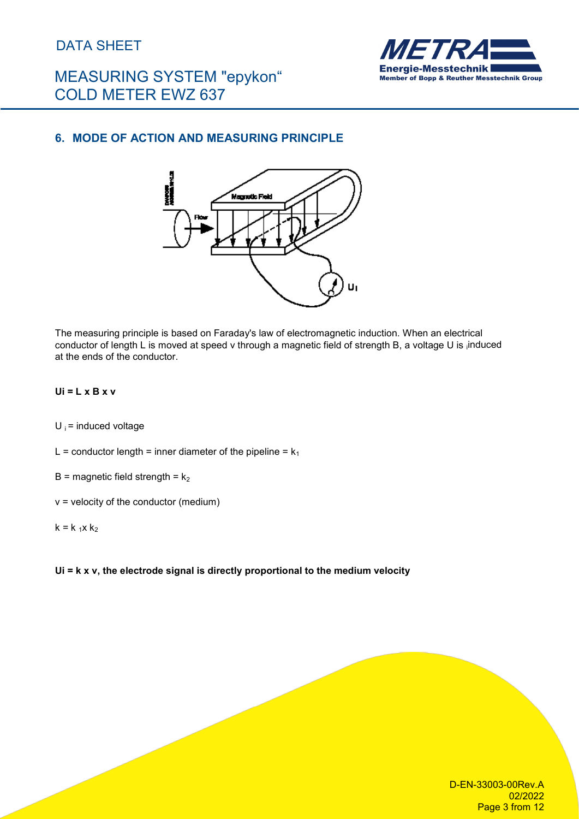# MEASURING SYSTEM "epykon" COLD METER EWZ 637



### **6. MODE OF ACTION AND MEASURING PRINCIPLE**



The measuring principle is based on Faraday's law of electromagnetic induction. When an electrical conductor of length L is moved at speed v through a magnetic field of strength B, a voltage U is induced at the ends of the conductor.

### **Ui = L x B x v**

 $U_i$  = induced voltage

- L = conductor length = inner diameter of the pipeline =  $k_1$
- B = magnetic field strength =  $k<sub>2</sub>$
- $v =$  velocity of the conductor (medium)

#### $k = k_1 x k_2$

#### **Ui = k x v, the electrode signal is directly proportional to the medium velocity**

D-EN-33003-00Rev.A 02/2022 Page 3 from 12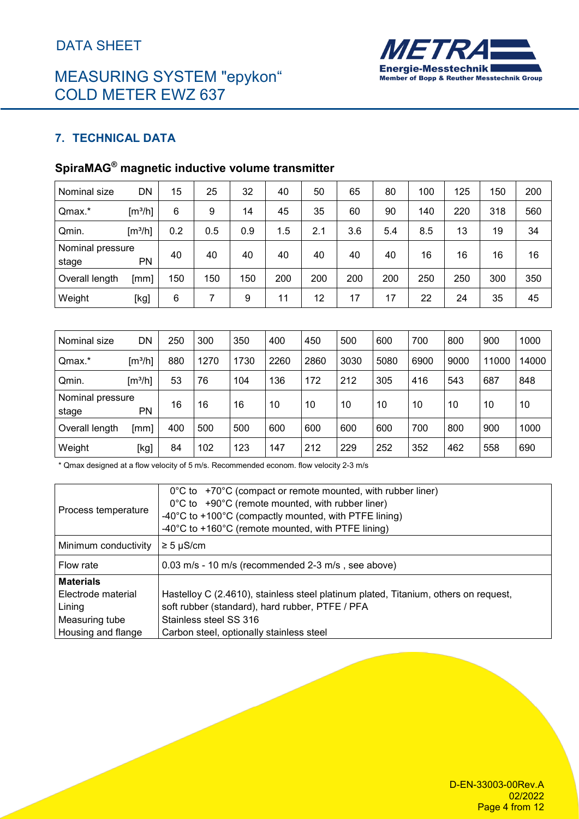# MEASURING SYSTEM "epykon" COLD METER EWZ 637



### **7. TECHNICAL DATA**

# **SpiraMAG® magnetic inductive volume transmitter**

| Nominal size              | DN                           | 15  | 25  | 32  | 40  | 50  | 65  | 80  | 100 | 125 | 150 | 200 |
|---------------------------|------------------------------|-----|-----|-----|-----|-----|-----|-----|-----|-----|-----|-----|
| Qmax.*                    | $\left[\frac{m^3}{h}\right]$ | 6   | 9   | 14  | 45  | 35  | 60  | 90  | 140 | 220 | 318 | 560 |
| Qmin.                     | $\left[\frac{m^3}{h}\right]$ | 0.2 | 0.5 | 0.9 | 1.5 | 2.1 | 3.6 | 5.4 | 8.5 | 13  | 19  | 34  |
| Nominal pressure<br>stage | <b>PN</b>                    | 40  | 40  | 40  | 40  | 40  | 40  | 40  | 16  | 16  | 16  | 16  |
| Overall length            | [mm]                         | 150 | 150 | 150 | 200 | 200 | 200 | 200 | 250 | 250 | 300 | 350 |
| Weight                    | [kg]                         | 6   | 7   | 9   | 11  | 12  | 17  | 17  | 22  | 24  | 35  | 45  |

| Nominal size              | DN                           | 250 | 300  | 350  | 400  | 450  | 500  | 600  | 700  | 800  | 900   | 1000  |
|---------------------------|------------------------------|-----|------|------|------|------|------|------|------|------|-------|-------|
| Qmax.*                    | $\left[\frac{m^3}{h}\right]$ | 880 | 1270 | 1730 | 2260 | 2860 | 3030 | 5080 | 6900 | 9000 | 11000 | 14000 |
| Qmin.                     | $\left[\frac{m^3}{h}\right]$ | 53  | 76   | 104  | 136  | 172  | 212  | 305  | 416  | 543  | 687   | 848   |
| Nominal pressure<br>stage | PN                           | 16  | 16   | 16   | 10   | 10   | 10   | 10   | 10   | 10   | 10    | 10    |
| Overall length            | [mm]                         | 400 | 500  | 500  | 600  | 600  | 600  | 600  | 700  | 800  | 900   | 1000  |
| Weight                    | [kg]                         | 84  | 102  | 123  | 147  | 212  | 229  | 252  | 352  | 462  | 558   | 690   |

\* Qmax designed at a flow velocity of 5 m/s. Recommended econom. flow velocity 2-3 m/s

| Process temperature  | $0^{\circ}$ C to +70 $^{\circ}$ C (compact or remote mounted, with rubber liner)<br>0°C to +90°C (remote mounted, with rubber liner)<br>-40°C to +100°C (compactly mounted, with PTFE lining)<br>-40°C to +160°C (remote mounted, with PTFE lining) |
|----------------------|-----------------------------------------------------------------------------------------------------------------------------------------------------------------------------------------------------------------------------------------------------|
| Minimum conductivity | $\geq 5 \mu$ S/cm                                                                                                                                                                                                                                   |
| Flow rate            | 0.03 m/s - 10 m/s (recommended 2-3 m/s, see above)                                                                                                                                                                                                  |
| <b>Materials</b>     |                                                                                                                                                                                                                                                     |
| Electrode material   | Hastelloy C (2.4610), stainless steel platinum plated, Titanium, others on request,                                                                                                                                                                 |
| Lining               | soft rubber (standard), hard rubber, PTFE / PFA                                                                                                                                                                                                     |
| Measuring tube       | Stainless steel SS 316                                                                                                                                                                                                                              |
| Housing and flange   | Carbon steel, optionally stainless steel                                                                                                                                                                                                            |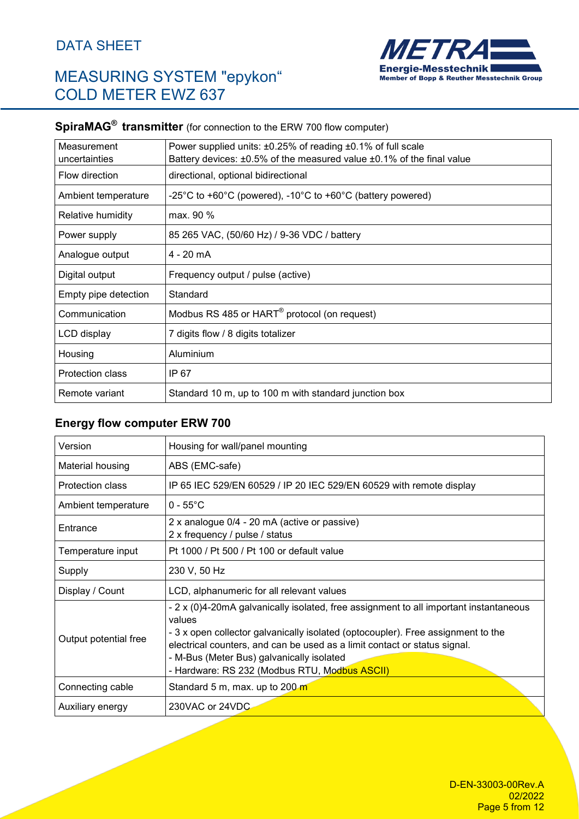# MEASURING SYSTEM "epykon" COLD METER EWZ 637



# **SpiraMAG® transmitter** (for connection to the ERW 700 flow computer)

| Measurement             | Power supplied units: ±0.25% of reading ±0.1% of full scale                       |
|-------------------------|-----------------------------------------------------------------------------------|
| uncertainties           | Battery devices: $\pm 0.5\%$ of the measured value $\pm 0.1\%$ of the final value |
| Flow direction          | directional, optional bidirectional                                               |
| Ambient temperature     | -25°C to +60°C (powered), -10°C to +60°C (battery powered)                        |
| Relative humidity       | max. 90 %                                                                         |
| Power supply            | 85 265 VAC, (50/60 Hz) / 9-36 VDC / battery                                       |
| Analogue output         | 4 - 20 mA                                                                         |
| Digital output          | Frequency output / pulse (active)                                                 |
| Empty pipe detection    | Standard                                                                          |
| Communication           | Modbus RS 485 or HART <sup>®</sup> protocol (on request)                          |
| LCD display             | 7 digits flow / 8 digits totalizer                                                |
| Housing                 | Aluminium                                                                         |
| <b>Protection class</b> | IP 67                                                                             |
| Remote variant          | Standard 10 m, up to 100 m with standard junction box                             |

### **Energy flow computer ERW 700**

| Version               | Housing for wall/panel mounting                                                                                                                                                                                                                                                                                                                                |
|-----------------------|----------------------------------------------------------------------------------------------------------------------------------------------------------------------------------------------------------------------------------------------------------------------------------------------------------------------------------------------------------------|
| Material housing      | ABS (EMC-safe)                                                                                                                                                                                                                                                                                                                                                 |
| Protection class      | IP 65 IEC 529/EN 60529 / IP 20 IEC 529/EN 60529 with remote display                                                                                                                                                                                                                                                                                            |
| Ambient temperature   | $0 - 55^{\circ}$ C                                                                                                                                                                                                                                                                                                                                             |
| Entrance              | 2 x analogue 0/4 - 20 mA (active or passive)<br>2 x frequency / pulse / status                                                                                                                                                                                                                                                                                 |
| Temperature input     | Pt 1000 / Pt 500 / Pt 100 or default value                                                                                                                                                                                                                                                                                                                     |
| Supply                | 230 V, 50 Hz                                                                                                                                                                                                                                                                                                                                                   |
| Display / Count       | LCD, alphanumeric for all relevant values                                                                                                                                                                                                                                                                                                                      |
| Output potential free | - 2 x (0)4-20mA galvanically isolated, free assignment to all important instantaneous<br>values<br>- 3 x open collector galvanically isolated (optocoupler). Free assignment to the<br>electrical counters, and can be used as a limit contact or status signal.<br>- M-Bus (Meter Bus) galvanically isolated<br>- Hardware: RS 232 (Modbus RTU, Modbus ASCII) |
| Connecting cable      | Standard 5 m, max. up to 200 m                                                                                                                                                                                                                                                                                                                                 |
| Auxiliary energy      | 230VAC or 24VDC                                                                                                                                                                                                                                                                                                                                                |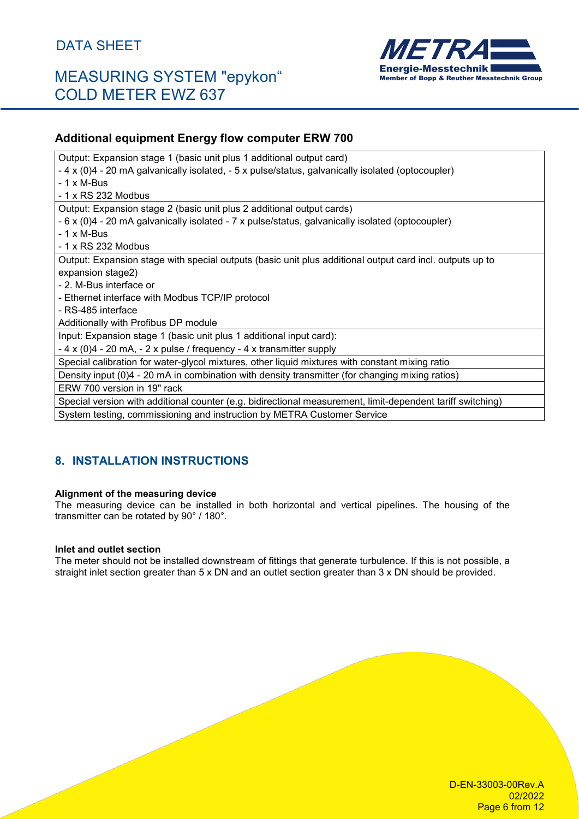## MEASURING SYSTEM "epykon" COLD METER EWZ 637



### **Additional equipment Energy flow computer ERW 700**

| Output: Expansion stage 1 (basic unit plus 1 additional output card)                                       |
|------------------------------------------------------------------------------------------------------------|
| - 4 x (0)4 - 20 mA galvanically isolated, - 5 x pulse/status, galvanically isolated (optocoupler)          |
| - 1 x M-Bus                                                                                                |
| - 1 x RS 232 Modbus                                                                                        |
| Output: Expansion stage 2 (basic unit plus 2 additional output cards)                                      |
| - 6 x (0)4 - 20 mA galvanically isolated - 7 x pulse/status, galvanically isolated (optocoupler)           |
| $-1 \times M$ -Bus                                                                                         |
| - 1 x RS 232 Modbus                                                                                        |
| Output: Expansion stage with special outputs (basic unit plus additional output card incl. outputs up to   |
| expansion stage2)                                                                                          |
| - 2. M-Bus interface or                                                                                    |
| - Ethernet interface with Modbus TCP/IP protocol                                                           |
| - RS-485 interface                                                                                         |
| Additionally with Profibus DP module                                                                       |
| Input: Expansion stage 1 (basic unit plus 1 additional input card):                                        |
| $-4 \times (0)4 - 20$ mA, $-2 \times$ pulse / frequency $-4 \times$ transmitter supply                     |
| Special calibration for water-glycol mixtures, other liquid mixtures with constant mixing ratio            |
| Density input (0)4 - 20 mA in combination with density transmitter (for changing mixing ratios)            |
| ERW 700 version in 19" rack                                                                                |
| Special version with additional counter (e.g. bidirectional measurement, limit-dependent tariff switching) |
| System testing, commissioning and instruction by METRA Customer Service                                    |

### **8. INSTALLATION INSTRUCTIONS**

#### **Alignment of the measuring device**

The measuring device can be installed in both horizontal and vertical pipelines. The housing of the transmitter can be rotated by 90° / 180°.

#### **Inlet and outlet section**

The meter should not be installed downstream of fittings that generate turbulence. If this is not possible, a straight inlet section greater than 5 x DN and an outlet section greater than 3 x DN should be provided.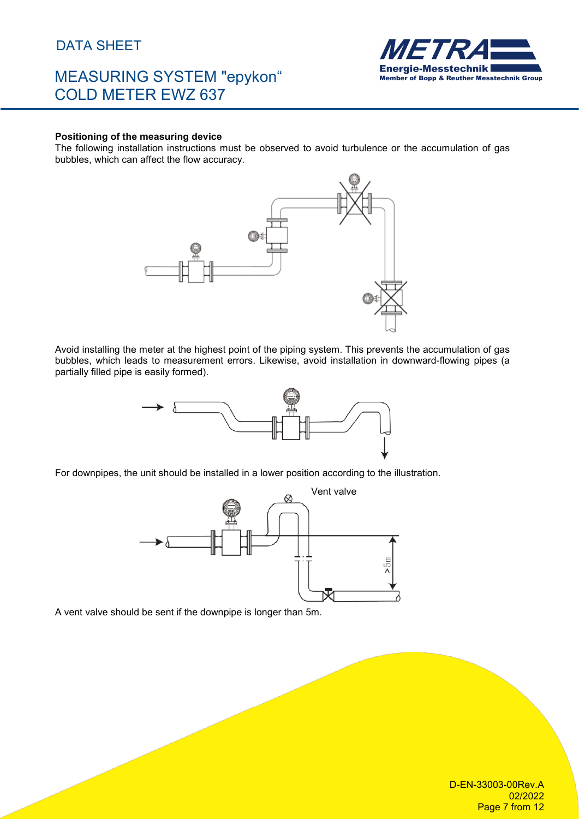## MEASURING SYSTEM "epykon" COLD METER EWZ 637



#### **Positioning of the measuring device**

The following installation instructions must be observed to avoid turbulence or the accumulation of gas bubbles, which can affect the flow accuracy.



Avoid installing the meter at the highest point of the piping system. This prevents the accumulation of gas bubbles, which leads to measurement errors. Likewise, avoid installation in downward-flowing pipes (a partially filled pipe is easily formed).



For downpipes, the unit should be installed in a lower position according to the illustration.



A vent valve should be sent if the downpipe is longer than 5m.

D-EN-33003-00Rev.A 02/2022 Page 7 from 12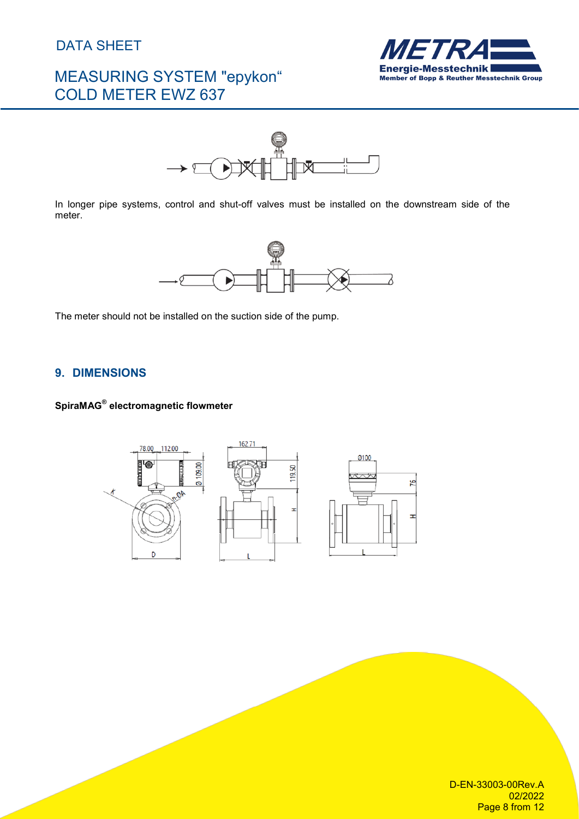# MEASURING SYSTEM "epykon" COLD METER EWZ 637





In longer pipe systems, control and shut-off valves must be installed on the downstream side of the meter.



The meter should not be installed on the suction side of the pump.

### **9. DIMENSIONS**

### **SpiraMAG® electromagnetic flowmeter**



D-EN-33003-00Rev.A 02/2022 Page 8 from 12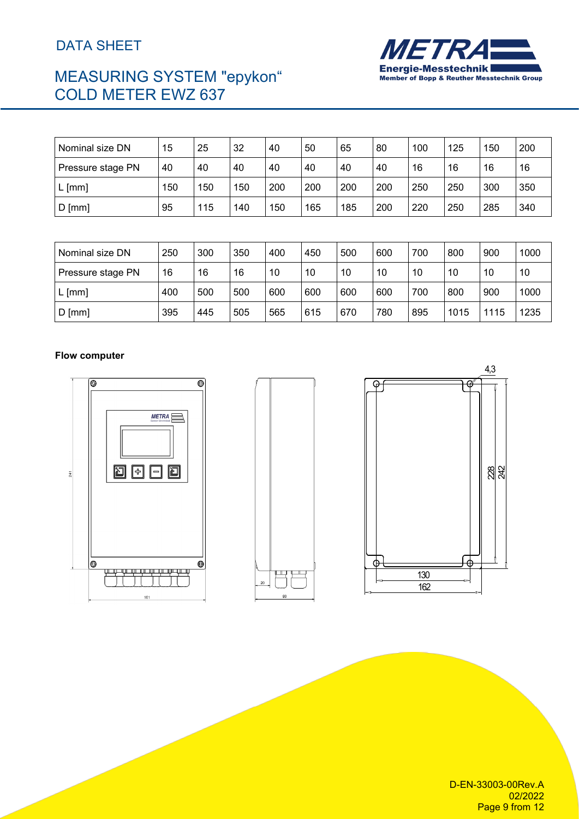# MEASURING SYSTEM "epykon" COLD METER EWZ 637



| Nominal size DN   | 15  | 25  | 32  | 40  | 50  | 65  | 80  | 100 | 125 | 150 | 200 |
|-------------------|-----|-----|-----|-----|-----|-----|-----|-----|-----|-----|-----|
| Pressure stage PN | 40  | 40  | 40  | 40  | 40  | 40  | 40  | 16  | 16  | 16  | 16  |
| $L$ [mm]          | 150 | 150 | 150 | 200 | 200 | 200 | 200 | 250 | 250 | 300 | 350 |
| $D$ [mm]          | 95  | 115 | 140 | 150 | 165 | 185 | 200 | 220 | 250 | 285 | 340 |

| Nominal size DN   | 250 | 300 | 350 | 400 | 450 | 500 | 600 | 700 | 800  | 900  | 1000 |
|-------------------|-----|-----|-----|-----|-----|-----|-----|-----|------|------|------|
| Pressure stage PN | 16  | 16  | 16  | 10  | 10  | 10  | 10  | 10  | 10   | 10   | 10   |
| $L$ [mm]          | 400 | 500 | 500 | 600 | 600 | 600 | 600 | 700 | 800  | 900  | 1000 |
| $D$ [mm]          | 395 | 445 | 505 | 565 | 615 | 670 | 780 | 895 | 1015 | 1115 | 1235 |

#### **Flow computer**







D-EN-33003-00Rev.A 02/2022 Page 9 from 12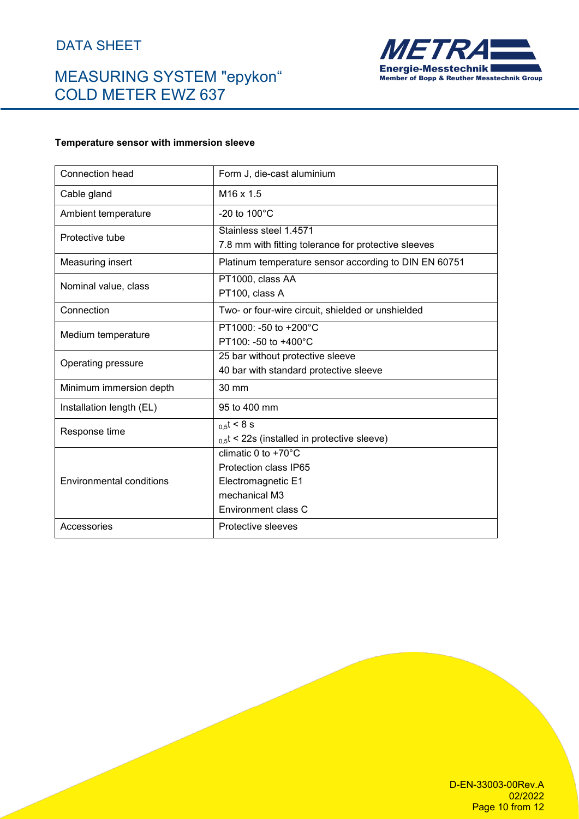# MEASURING SYSTEM "epykon" COLD METER EWZ 637



#### **Temperature sensor with immersion sleeve**

| Connection head                 | Form J, die-cast aluminium                                                                                              |
|---------------------------------|-------------------------------------------------------------------------------------------------------------------------|
| Cable gland                     | $M16 \times 1.5$                                                                                                        |
| Ambient temperature             | -20 to $100^{\circ}$ C                                                                                                  |
| Protective tube                 | Stainless steel 1.4571<br>7.8 mm with fitting tolerance for protective sleeves                                          |
| Measuring insert                | Platinum temperature sensor according to DIN EN 60751                                                                   |
| Nominal value, class            | PT1000, class AA<br>PT100, class A                                                                                      |
| Connection                      | Two- or four-wire circuit, shielded or unshielded                                                                       |
| Medium temperature              | PT1000: -50 to +200°C<br>PT100: -50 to +400°C                                                                           |
| Operating pressure              | 25 bar without protective sleeve<br>40 bar with standard protective sleeve                                              |
| Minimum immersion depth         | 30 mm                                                                                                                   |
| Installation length (EL)        | 95 to 400 mm                                                                                                            |
| Response time                   | $_{0.5}t < 8$ s<br>$_{0.5}$ t < 22s (installed in protective sleeve)                                                    |
| <b>Environmental conditions</b> | climatic $0$ to +70 $^{\circ}$ C<br>Protection class IP65<br>Electromagnetic E1<br>mechanical M3<br>Environment class C |
| Accessories                     | Protective sleeves                                                                                                      |

D-EN-33003-00Rev.A 02/2022 Page 10 from 12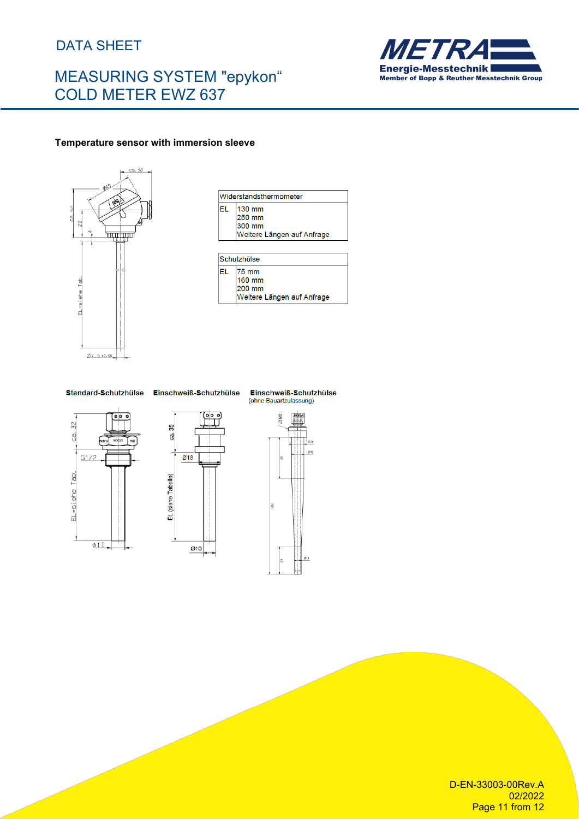# MEASURING SYSTEM "epykon" COLD METER EWZ 637



#### **Temperature sensor with immersion sleeve**



|     | Widerstandsthermometer     |
|-----|----------------------------|
| FI. | 130 mm<br>250 mm           |
|     | 300 mm                     |
|     | Weitere Längen auf Anfrage |
|     |                            |
|     | Schutzhülse                |
| FI. | 75 mm                      |
|     | 160 mm<br>200 mm           |

Standard-Schutzhülse Einschweiß-Schutzhülse



ca. 35

L  $\overline{\omega}$ 18

EL (siehe Tabelle)

 $\sigma$ 10

Einschweiß-Schutzhülse (ohne Bauartzulassung)



D-EN-33003-00Rev.A 02/2022 Page 11 from 12